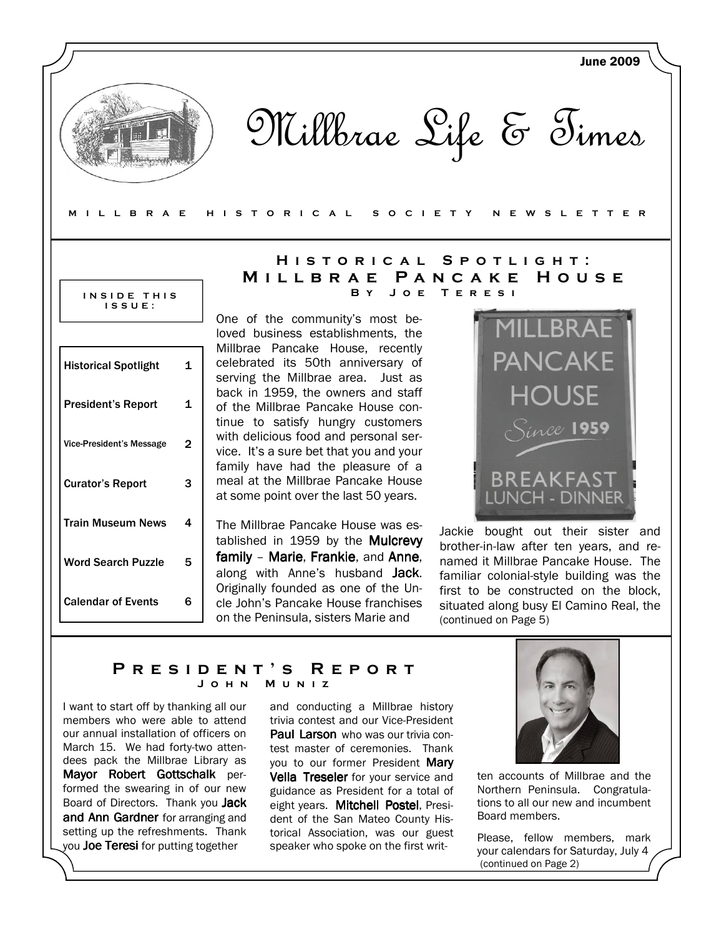

Millbrae Life & Times

#### M I L L B R A E H I S T O R I C A L S O C I E T Y N E W S L E T T E R

#### INSIDE THIS I S S U E :

| Historical Spotlight            | 1  |
|---------------------------------|----|
| <b>President's Report</b>       | 1  |
| <b>Vice-President's Message</b> | 2  |
| <b>Curator's Report</b>         | 3  |
| Train Museum News               | 4  |
| <b>Word Search Puzzle</b>       | 5  |
| <b>Calendar of Events</b>       | ุค |

## HISTORICAL SPOTLIGHT: MILLBRAE PANCAKE HOUSE T E R E S I

One of the community's most beloved business establishments, the Millbrae Pancake House, recently celebrated its 50th anniversary of serving the Millbrae area. Just as back in 1959, the owners and staff of the Millbrae Pancake House continue to satisfy hungry customers with delicious food and personal service. It's a sure bet that you and your family have had the pleasure of a meal at the Millbrae Pancake House at some point over the last 50 years.

The Millbrae Pancake House was established in 1959 by the **Mulcrevy** family – Marie, Frankie, and Anne, along with Anne's husband Jack. Originally founded as one of the Uncle John's Pancake House franchises on the Peninsula, sisters Marie and



Jackie bought out their sister and brother-in-law after ten years, and renamed it Millbrae Pancake House. The familiar colonial-style building was the first to be constructed on the block, situated along busy El Camino Real, the (continued on Page 5)

## PRESIDENT'S REPORT J o h n M u n i z

I want to start off by thanking all our members who were able to attend our annual installation of officers on March 15. We had forty-two attendees pack the Millbrae Library as Mayor Robert Gottschalk performed the swearing in of our new Board of Directors. Thank you Jack and Ann Gardner for arranging and setting up the refreshments. Thank you Joe Teresi for putting together

and conducting a Millbrae history trivia contest and our Vice-President Paul Larson who was our trivia contest master of ceremonies. Thank you to our former President Mary Vella Treseler for your service and guidance as President for a total of eight years. Mitchell Postel, President of the San Mateo County Historical Association, was our guest speaker who spoke on the first writ-



ten accounts of Millbrae and the Northern Peninsula. Congratulations to all our new and incumbent Board members.

Please, fellow members, mark your calendars for Saturday, July 4 (continued on Page 2)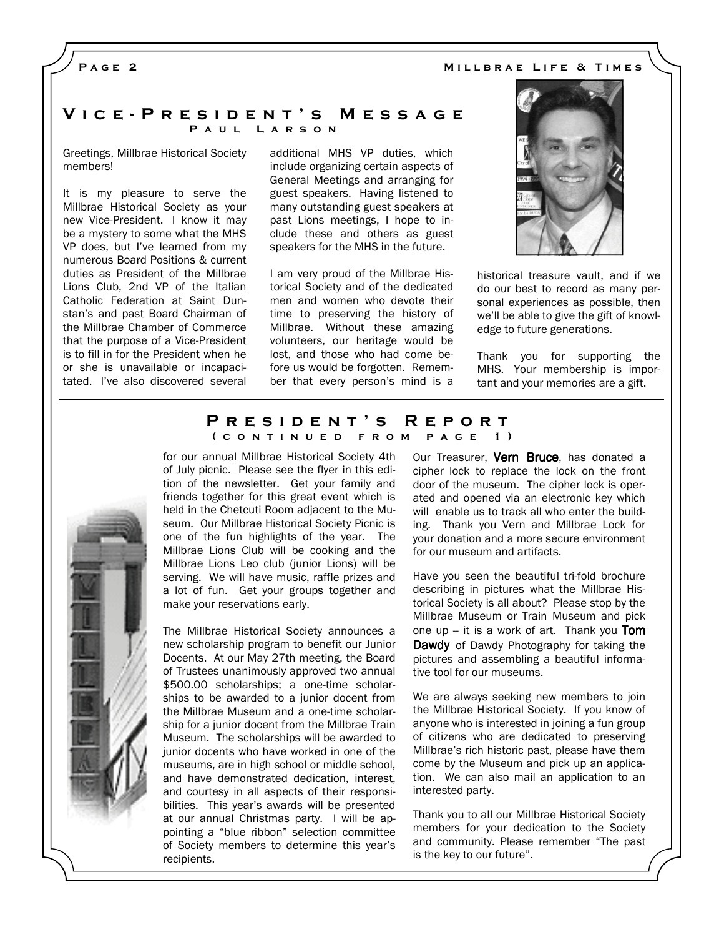PAGE<sub>2</sub>

### V i c e - P r e s i d e n t ' s M e s s a g e PAUL LARSON

Greetings, Millbrae Historical Society members!

It is my pleasure to serve the Millbrae Historical Society as your new Vice-President. I know it may be a mystery to some what the MHS VP does, but I've learned from my numerous Board Positions & current duties as President of the Millbrae Lions Club, 2nd VP of the Italian Catholic Federation at Saint Dunstan's and past Board Chairman of the Millbrae Chamber of Commerce that the purpose of a Vice-President is to fill in for the President when he or she is unavailable or incapacitated. I've also discovered several additional MHS VP duties, which include organizing certain aspects of General Meetings and arranging for guest speakers. Having listened to many outstanding guest speakers at past Lions meetings, I hope to include these and others as guest speakers for the MHS in the future.

I am very proud of the Millbrae Historical Society and of the dedicated men and women who devote their time to preserving the history of Millbrae. Without these amazing volunteers, our heritage would be lost, and those who had come before us would be forgotten. Remember that every person's mind is a



historical treasure vault, and if we do our best to record as many personal experiences as possible, then we'll be able to give the gift of knowledge to future generations.

Thank you for supporting the MHS. Your membership is important and your memories are a gift.

### P R E S I D E N T 'S R E P O R T ( CONTINUED FROM PAGE 1)

for our annual Millbrae Historical Society 4th of July picnic. Please see the flyer in this edition of the newsletter. Get your family and friends together for this great event which is held in the Chetcuti Room adjacent to the Museum. Our Millbrae Historical Society Picnic is one of the fun highlights of the year. The Millbrae Lions Club will be cooking and the Millbrae Lions Leo club (junior Lions) will be serving. We will have music, raffle prizes and a lot of fun. Get your groups together and make your reservations early.

The Millbrae Historical Society announces a new scholarship program to benefit our Junior Docents. At our May 27th meeting, the Board of Trustees unanimously approved two annual \$500.00 scholarships; a one-time scholarships to be awarded to a junior docent from the Millbrae Museum and a one-time scholarship for a junior docent from the Millbrae Train Museum. The scholarships will be awarded to junior docents who have worked in one of the museums, are in high school or middle school, and have demonstrated dedication, interest, and courtesy in all aspects of their responsibilities. This year's awards will be presented at our annual Christmas party. I will be appointing a "blue ribbon" selection committee of Society members to determine this year's recipients.

Our Treasurer, Vern Bruce, has donated a cipher lock to replace the lock on the front door of the museum. The cipher lock is operated and opened via an electronic key which will enable us to track all who enter the building. Thank you Vern and Millbrae Lock for your donation and a more secure environment for our museum and artifacts.

Have you seen the beautiful tri-fold brochure describing in pictures what the Millbrae Historical Society is all about? Please stop by the Millbrae Museum or Train Museum and pick one up  $-$  it is a work of art. Thank you **Tom** Dawdy of Dawdy Photography for taking the pictures and assembling a beautiful informative tool for our museums.

We are always seeking new members to join the Millbrae Historical Society. If you know of anyone who is interested in joining a fun group of citizens who are dedicated to preserving Millbrae's rich historic past, please have them come by the Museum and pick up an application. We can also mail an application to an interested party.

Thank you to all our Millbrae Historical Society members for your dedication to the Society and community. Please remember "The past is the key to our future".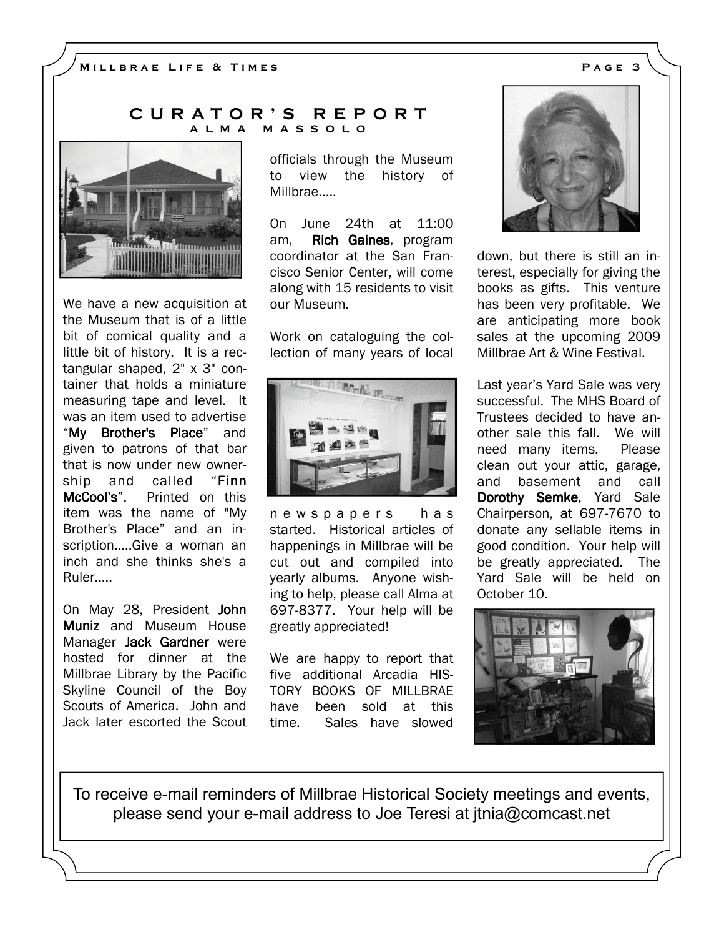## C U R A T O R ' S R E P O R T A L M A M A S S O L O



We have a new acquisition at the Museum that is of a little bit of comical quality and a little bit of history. It is a rectangular shaped, 2" x 3" container that holds a miniature measuring tape and level. It was an item used to advertise "My Brother's Place" and given to patrons of that bar that is now under new ownership and called "Finn McCool's". Printed on this item was the name of "My Brother's Place" and an inscription.....Give a woman an inch and she thinks she's a Ruler.....

On May 28, President John Muniz and Museum House Manager Jack Gardner were hosted for dinner at the Millbrae Library by the Pacific Skyline Council of the Boy Scouts of America. John and Jack later escorted the Scout

officials through the Museum to view the history of Millbrae.....

On June 24th at 11:00 am, **Rich Gaines**, program coordinator at the San Francisco Senior Center, will come along with 15 residents to visit our Museum.

Work on cataloguing the collection of many years of local



n e w s p a p e r s h a s started. Historical articles of happenings in Millbrae will be cut out and compiled into yearly albums. Anyone wishing to help, please call Alma at 697-8377. Your help will be greatly appreciated!

We are happy to report that five additional Arcadia HIS-TORY BOOKS OF MILLBRAE have been sold at this time. Sales have slowed



down, but there is still an interest, especially for giving the books as gifts. This venture has been very profitable. We are anticipating more book sales at the upcoming 2009 Millbrae Art & Wine Festival.

Last year's Yard Sale was very successful. The MHS Board of Trustees decided to have another sale this fall. We will need many items. Please clean out your attic, garage, and basement and call Dorothy Semke, Yard Sale Chairperson, at 697-7670 to donate any sellable items in good condition. Your help will be greatly appreciated. The Yard Sale will be held on October 10.



To receive e-mail reminders of Millbrae Historical Society meetings and events, please send your e-mail address to Joe Teresi at jtnia@comcast.net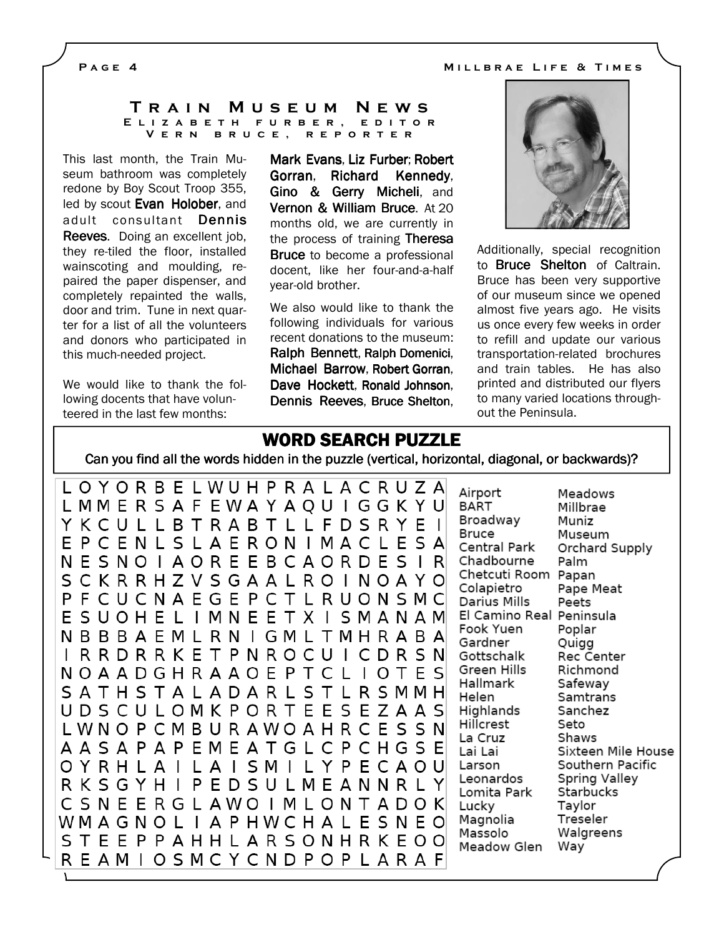#### P A G E 4 M i l and the MILLBRAE LIFE & TIMES

#### TRAIN MUSEUM NEWS E L I Z A B E T H F U R B E R , E D I T O R V E R N B R U C E , R E P O R T E R

This last month, the Train Museum bathroom was completely redone by Boy Scout Troop 355, led by scout Evan Holober, and adult consultant Dennis Reeves. Doing an excellent job. they re-tiled the floor, installed wainscoting and moulding, repaired the paper dispenser, and completely repainted the walls, door and trim. Tune in next quarter for a list of all the volunteers and donors who participated in this much-needed project.

We would like to thank the following docents that have volunteered in the last few months:

Mark Evans, Liz Furber; Robert Gorran, Richard Kennedy, Gino & Gerry Micheli, and Vernon & William Bruce. At 20 months old, we are currently in the process of training Theresa Bruce to become a professional docent, like her four-and-a-half year-old brother.

We also would like to thank the following individuals for various recent donations to the museum: Ralph Bennett, Ralph Domenici, Michael Barrow, Robert Gorran, Dave Hockett, Ronald Johnson, Dennis Reeves, Bruce Shelton,



Additionally, special recognition to Bruce Shelton of Caltrain. Bruce has been very supportive of our museum since we opened almost five years ago. He visits us once every few weeks in order to refill and update our various transportation-related brochures and train tables. He has also printed and distributed our flyers to many varied locations throughout the Peninsula.

# WORD SEARCH PUZZLE

Can you find all the words hidden in the puzzle (vertical, horizontal, diagonal, or backwards)?

L O Y O R B E L W U H P R A L A C R U Z A Airport L M M E R S A F E W A Y A O U I G G K Y U **BART** Broadway Y K C U L L B T R A B T L L F D S R Y E I **Bruce** EPCENLSLAERONIMACLESA Central Park N E S N O I A O R E E B C A O R D E S I R Chadbourne SCKRRHZVSGAALROINOAYO Colapietro PFCUCNAEGEPCTLRUONSMC Darius Mills ESUOHELIMNEETXISMANAM Fook Yuen NBBBAEMLRNIGMLTMHRABA Gardner I R R D R R K E T P N R O C U I C D R S N Gottschalk Green Hills N O A A D G H R A A O E P T C L I O T E S Hallmark S A T H S T A L A D A R L S T L R S M M H Helen U D S C U L O M K P O R T E E S E Z A A S Highlands Hillcrest L W N O P C M B U R A W O A H R C E S S N La Cruz Lai Lai O Y R H L A I L A I S M I L Y P E C A O U Larson Leonardos R K S G Y H I P E D S U L M E A N N R L Y Lomita Park C S N E E R G L A W O I M L O N T A D O K Lucky WMAGNOLIAPHWCHALESNEO Magnolia Massolo S T E E P P A H H L A R S O N H R K E O O Meadow Glen REAMIOSMCYCNDPOPLARAF

Meadows Millbrae Muniz Museum Orchard Supply Palm Chetcuti Room Papan Pape Meat Peets El Camino Real Peninsula Poplar Quigg Rec Center Richmond Safeway Samtrans Sanchez Seto Shaws Sixteen Mile House Southern Pacific Spring Valley Starbucks Taylor Treseler Walgreens Way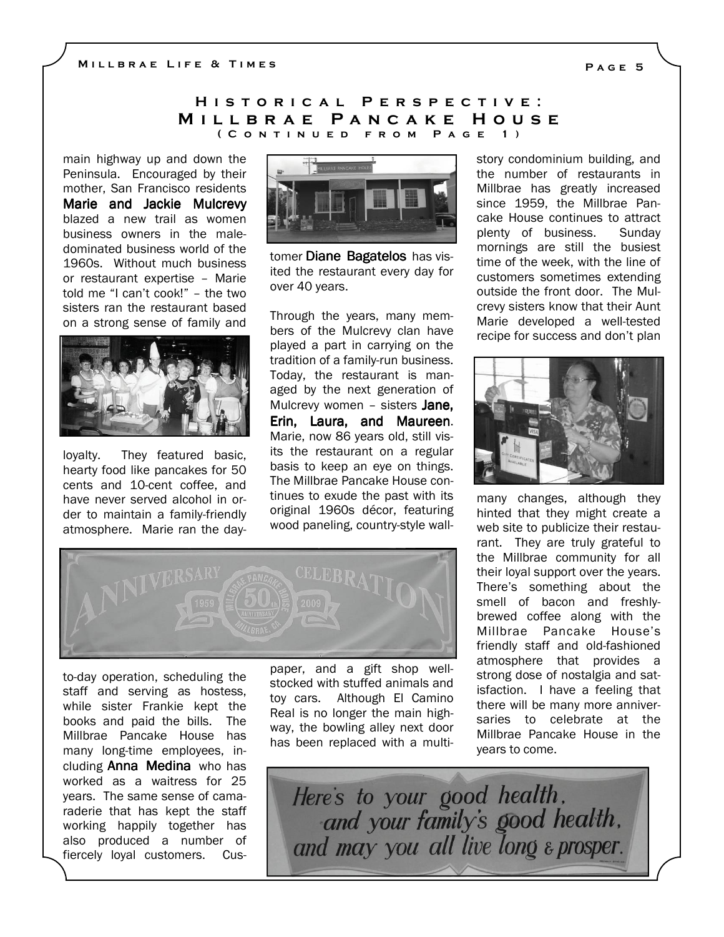## H I S T O R I C A L P E R S P E C T I V E : MILLBRAE PANCAKE HOUSE ( C o n t i n u e d f r o m P a g e 1 )

main highway up and down the Peninsula. Encouraged by their mother, San Francisco residents Marie and Jackie Mulcrevy blazed a new trail as women business owners in the maledominated business world of the 1960s. Without much business or restaurant expertise – Marie told me "I can't cook!" – the two sisters ran the restaurant based on a strong sense of family and



loyalty. They featured basic, hearty food like pancakes for 50 cents and 10-cent coffee, and have never served alcohol in order to maintain a family-friendly atmosphere. Marie ran the day-



tomer Diane Bagatelos has visited the restaurant every day for over 40 years.

Through the years, many members of the Mulcrevy clan have played a part in carrying on the tradition of a family-run business. Today, the restaurant is managed by the next generation of Mulcrevy women - sisters Jane, Erin, Laura, and Maureen. Marie, now 86 years old, still visits the restaurant on a regular basis to keep an eye on things. The Millbrae Pancake House continues to exude the past with its original 1960s décor, featuring wood paneling, country-style wall-



to-day operation, scheduling the staff and serving as hostess, while sister Frankie kept the books and paid the bills. The Millbrae Pancake House has many long-time employees, including **Anna Medina** who has worked as a waitress for 25 years. The same sense of camaraderie that has kept the staff working happily together has also produced a number of fiercely loyal customers. Cuspaper, and a gift shop wellstocked with stuffed animals and toy cars. Although El Camino Real is no longer the main highway, the bowling alley next door has been replaced with a multistory condominium building, and the number of restaurants in Millbrae has greatly increased since 1959, the Millbrae Pancake House continues to attract plenty of business. Sunday mornings are still the busiest time of the week, with the line of customers sometimes extending outside the front door. The Mulcrevy sisters know that their Aunt Marie developed a well-tested recipe for success and don't plan



many changes, although they hinted that they might create a web site to publicize their restaurant. They are truly grateful to the Millbrae community for all their loyal support over the years. There's something about the smell of bacon and freshlybrewed coffee along with the Millbrae Pancake House's friendly staff and old-fashioned atmosphere that provides a strong dose of nostalgia and satisfaction. I have a feeling that there will be many more anniversaries to celebrate at the Millbrae Pancake House in the years to come.

Here's to your good health, and your family's good health. and may you all live long & prosper.